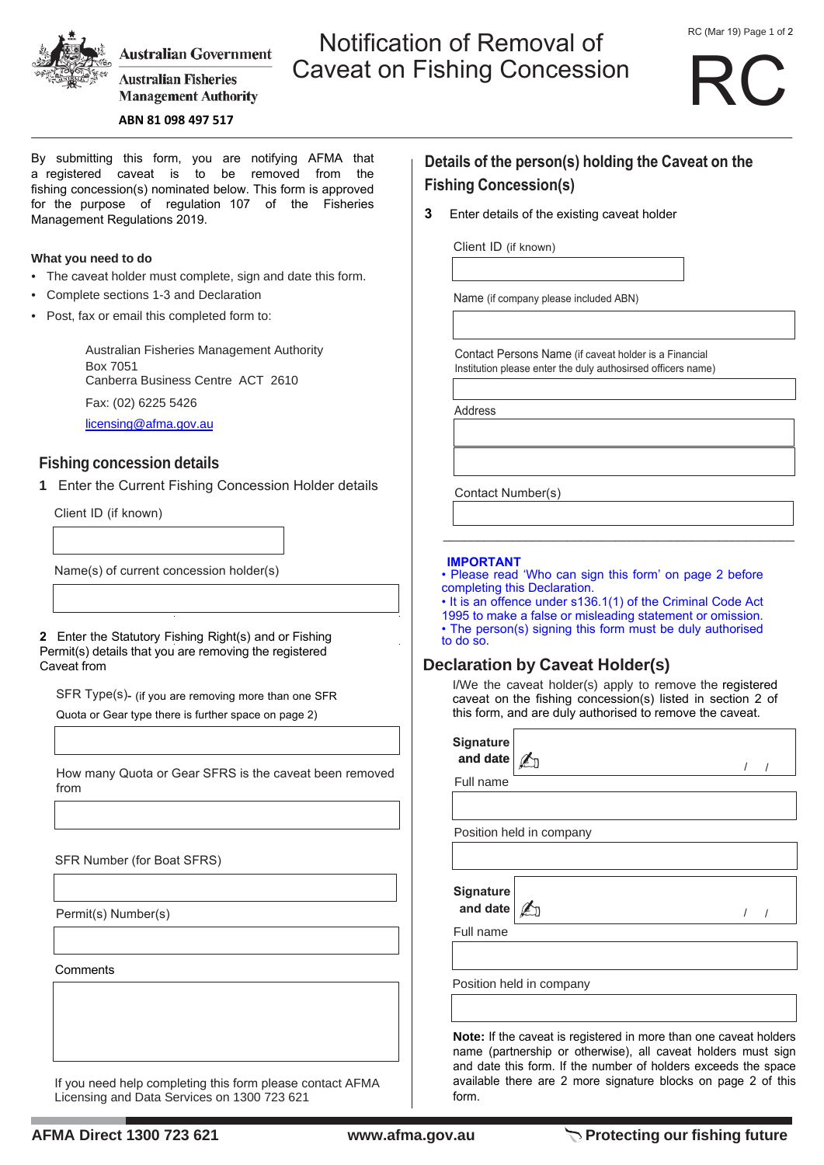

**Australian Government** 

**Australian Fisheries Management Authority** 

# Notification of Removal of Caveat on Fishing Concession

# RC

**ABN 81 098 497 517**

By submitting this form, you are notifying AFMA that a registered caveat is to be removed from the fishing concession(s) nominated below. This form is approved for the purpose of regulation 107 of the Fisheries Management Regulations 2019.

#### **What you need to do**

- The caveat holder must complete, sign and date this form.
- Complete sections 1-3 and Declaration
- Post, fax or email this completed form to:

Australian Fisheries Management Authority Box 7051 Canberra Business Centre ACT 2610 Fax: (02) 6225 5426 licensing@afma.gov.au

## **Fishing concession details**

**1** Enter the Current Fishing Concession Holder details

Client ID (if known)

Name(s) of current concession holder(s)

**2** Enter the Statutory Fishing Right(s) and or Fishing Permit(s) details that you are removing the registered Caveat from

SFR Type(s)- (if you are removing more than one SFR Quota or Gear type there is further space on page 2)

How many Quota or Gear SFRS is the caveat been removed from

SFR Number (for Boat SFRS)

Permit(s) Number(s)

**Comments** 

If you need help completing this form please contact AFMA Licensing and Data Services on 1300 723 621

# **Details of the person(s) holding the Caveat on the Fishing Concession(s)**

**3** Enter details of the existing caveat holder

Client ID (if known)

Name (if company please included ABN)

Contact Persons Name (if caveat holder is a Financial Institution please enter the duly authosirsed officers name)

Address

Contact Number(s)

#### **IMPORTANT**

• Please read 'Who can sign this form' on page 2 before completing this Declaration.

\_\_\_\_\_\_\_\_\_\_\_\_\_\_\_\_\_\_\_\_\_\_\_\_\_\_\_\_\_\_\_\_\_\_\_\_\_\_\_\_\_\_\_\_\_\_\_\_\_\_\_

• It is an offence under s136.1(1) of the Criminal Code Act 1995 to make a false or misleading statement or omission. • The person(s) signing this form must be duly authorised to do so.

# **Declaration by Caveat Holder(s)**

I/We the caveat holder(s) apply to remove the registered caveat on the fishing concession(s) listed in section 2 of this form, and are duly authorised to remove the caveat.

| <b>Signature</b><br>and date |                                                                                                                                           |  |
|------------------------------|-------------------------------------------------------------------------------------------------------------------------------------------|--|
| Full name                    |                                                                                                                                           |  |
|                              |                                                                                                                                           |  |
|                              | Position held in company                                                                                                                  |  |
|                              |                                                                                                                                           |  |
| <b>Signature</b><br>and date |                                                                                                                                           |  |
| Full name                    |                                                                                                                                           |  |
|                              | Position held in company                                                                                                                  |  |
|                              | <b>Note:</b> If the caveat is registered in more than one caveat holders<br>name (partnership or otherwise), all caveat holders must sign |  |

name (partnership or otherwise), all caveat holders must sign and date this form. If the number of holders exceeds the space available there are 2 more signature blocks on page 2 of this form.